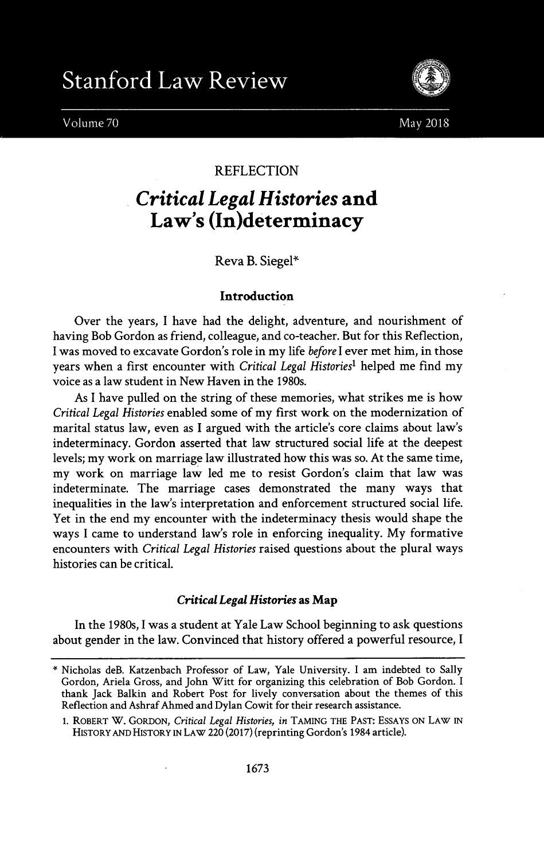



## REFLECTION

# *Critical Legal Histories* **and Law's (In)determinacy**

Reva B. Siegel\*

### **Introduction**

Over the years, **I** have had the delight, adventure, and nourishment of having Bob Gordon as friend, colleague, and co-teacher. But for this Reflection, **I** was moved to excavate Gordon's role in my life before *I* ever met him, in those years when a first encounter with *Critical Legal Historiesl* helped me find my voice as a law student in New Haven in the 1980s.

As I have pulled on the string of these memories, what strikes me is how *Critical Legal Histories* enabled some of my first work on the modernization of marital status law, even as I argued with the article's core claims about law's indeterminacy. Gordon asserted that law structured social life at the deepest levels; my work on marriage law illustrated how this was so. At the same time, my work on marriage law led me to resist Gordon's claim that law was indeterminate. The marriage cases demonstrated the many ways that inequalities in the law's interpretation and enforcement structured social life. Yet in the end my encounter with the indeterminacy thesis would shape the ways I came to understand law's role in enforcing inequality. **My** formative encounters with *Critical Legal Histories* raised questions about the plural ways histories can be critical.

#### *Critical Legal Histories* **as Map**

In the 1980s, **I** was a student at Yale Law School beginning to ask questions about gender in the law. Convinced that history offered a powerful resource, **I**

<sup>\*</sup> Nicholas deB. Katzenbach Professor of Law, Yale University. I am indebted to Sally Gordon, Ariela Gross, and John Witt for organizing this celebration of Bob Gordon. **<sup>I</sup>** thank Jack Balkin and Robert Post for lively conversation about the themes of this Reflection and Ashraf Ahmed and Dylan Cowit for their research assistance.

**<sup>1.</sup>** ROBERT W. GORDON, *Critical Legal Histories, in* TAMING THE **PAST:** ESSAYS ON LAW IN HISTORY **AND** HISTORY IN LAW 220 **(2017)** (reprinting Gordon's 1984 article).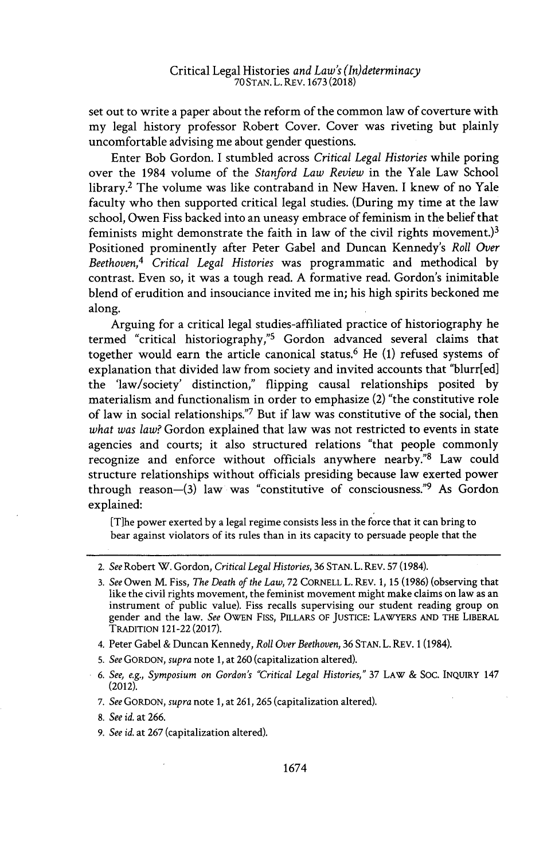set out to write a paper about the reform of the common law of coverture with my legal history professor Robert Cover. Cover was riveting but plainly uncomfortable advising me about gender questions.

Enter Bob Gordon. I stumbled across *Critical Legal Histories* while poring over the 1984 volume of the *Stanford Law Review* in the Yale Law School library.<sup>2</sup>The volume was like contraband in New Haven. **I** knew of no Yale faculty who then supported critical legal studies. (During my time at the law school, Owen Fiss backed into an uneasy embrace of feminism in the belief that feminists might demonstrate the faith in law of the civil rights movement.)<sup>3</sup> Positioned prominently after Peter Gabel and Duncan Kennedy's *Roll Over Beethoven,4 Critical Legal Histories* was programmatic and methodical **by** contrast. Even so, it was a tough read. **A** formative read. Gordon's inimitable blend of erudition and insouciance invited me in; his high spirits beckoned me along.

Arguing for a critical legal studies-affiliated practice of historiography he termed "critical historiography,"<sup>5</sup> Gordon advanced several claims that together would earn the article canonical status.<sup>6</sup>He **(1)** refused systems of explanation that divided law from society and invited accounts that "blurr[ed] the 'law/society' distinction," flipping causal relationships posited **by** materialism and functionalism in order to emphasize (2) "the constitutive role of law in social relationships."7 But if law was constitutive of the social, then *what was law?* Gordon explained that law was not restricted to events in state agencies and courts; it also structured relations "that people commonly recognize and enforce without officials anywhere nearby."<sup>8</sup> Law could structure relationships without officials presiding because law exerted power through reason- $(3)$  law was "constitutive of consciousness."<sup>9</sup> As Gordon explained:

[T]he power exerted **by** a legal regime consists less in the force that it can bring to bear against violators of its rules than in its capacity to persuade people that the

- **5.** *See GORDON, supra* note **1,** at **260** (capitalization altered).
- **6.** *See, e.g., Symposium on Gordon's "Critical Legal Histories,"* **37** LAW **& Soc.** INQUIRY 147 (2012).
- **7.** *See GORDON, supra* note **1,** at **261, 265** (capitalization altered).
- **8.** *See id.* at **266.**
- **9.** *See id.* at **267** (capitalization altered).

<sup>2.</sup> *See* Robert W. Gordon, *Critical Legal Histories,* **36 STAN.** L. REV. **57** (1984).

**<sup>3.</sup>** *See* Owen M. Fiss, *The Death of the Law,* **72** CORNELL L. REV. **1, 15 (1986)** (observing that like the civil rights movement, the feminist movement might make claims on law as an instrument of public value). Fiss recalls supervising our student reading group on gender and the law. *See* **OWEN** FIss, PILLARS OF **JUSTICE:** LAWYERS **AND** THE LIBERAL TRADITION 121-22 **(2017).**

<sup>4.</sup> Peter Gabel **&** Duncan Kennedy, *Roll Over Beethoven,* **36 STAN.** L. REV. **1** (1984).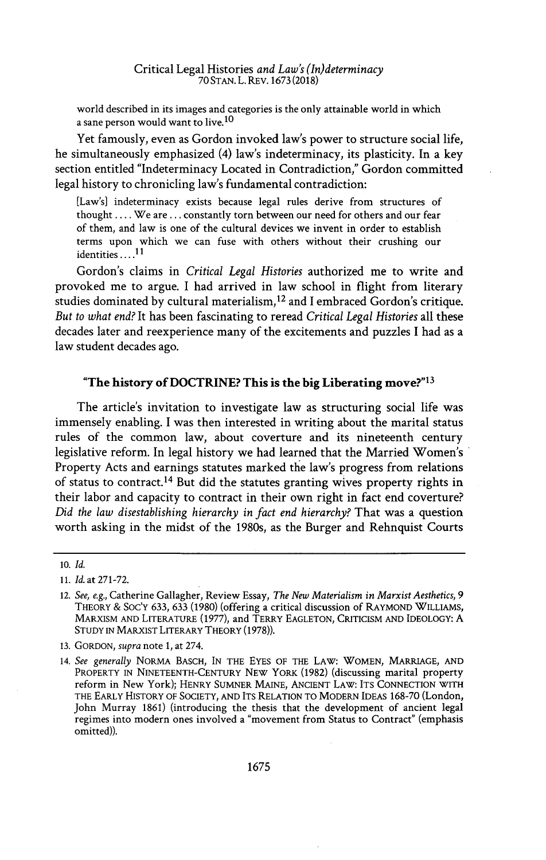world described in its images and categories is the only attainable world in which a sane person would want to live.<sup>10</sup>

Yet famously, even as Gordon invoked law's power to structure social life, he simultaneously emphasized (4) law's indeterminacy, its plasticity. In a key section entitled "Indeterminacy Located in Contradiction," Gordon committed legal history to chronicling law's fundamental contradiction:

[Law's] indeterminacy exists because legal rules derive from structures of thought **... .**We are **...** constantly torn between our need for others and our fear of them, and law is one of the cultural devices we invent in order to establish terms upon which we can fuse with others without their crushing our identities **....**

Gordon's claims in *Critical Legal Histories* authorized me to write and provoked me to argue. **I** had arrived in law school in flight from literary studies dominated **by** cultural materialism, <sup>12</sup>and **I** embraced Gordon's critique. *But to what end?* It has been fascinating to reread *Critical Legal Histories* all these decades later and reexperience many of the excitements and puzzles **I** had as a law student decades ago.

#### **"The history of DOCTRINE? This is the big Liberating move?"<sup>13</sup>**

The article's invitation to investigate law as structuring social life was immensely enabling. I was then interested in writing about the marital status rules of the common law, about coverture and its nineteenth century legislative reform. In legal history we had learned that the Married Women's Property Acts and earnings statutes marked the law's progress from relations of status to contract.<sup>14</sup> But did the statutes granting wives property rights in their labor and capacity to contract in their own right in fact end coverture? *Did the law disestablishing hierarchy in fact end hierarchy?* That was a question worth asking in the midst of the 1980s, as the Burger and Rehnquist Courts

<sup>10.</sup> *Id.*

**<sup>11.</sup>** *Id.* at **271-72.**

<sup>12.</sup> *See, e.g.,* Catherine Gallagher, Review Essay, *The New Materialism in Marxist Aesthetics, 9* THEORY **&** Soc'Y **633, 633 (1980)** (offering a critical discussion of RAYMOND WILLIAMS, MARXISM **AND** LITERATURE **(1977),** and TERRY **EAGLETON,** CRITICISM **AND IDEOLOGY: A STUDY** IN MARXIST LITERARY THEORY **(1978)).**

**<sup>13.</sup>** GORDON, *supra* note **1,** at 274.

*<sup>14.</sup> See generally* NORMA **BASCH, IN** THE **EYES** OF THE LAW: WOMEN, MARRIAGE, **AND** PROPERTY IN **NINETEENTH-CENTURY NEW** YORK **(1982)** (discussing marital property reform in New York); HENRY **SUMNER MAINE,** ANCIENT LAW: ITS **CONNECTION** WITH THE EARLY HISTORY OF **SOCIETY, AND** ITS RELATION TO MODERN **IDEAS 168-70** (London, John Murray **1861)** (introducing the thesis that the development of ancient legal regimes into modern ones involved a "movement from Status to Contract" (emphasis omitted)).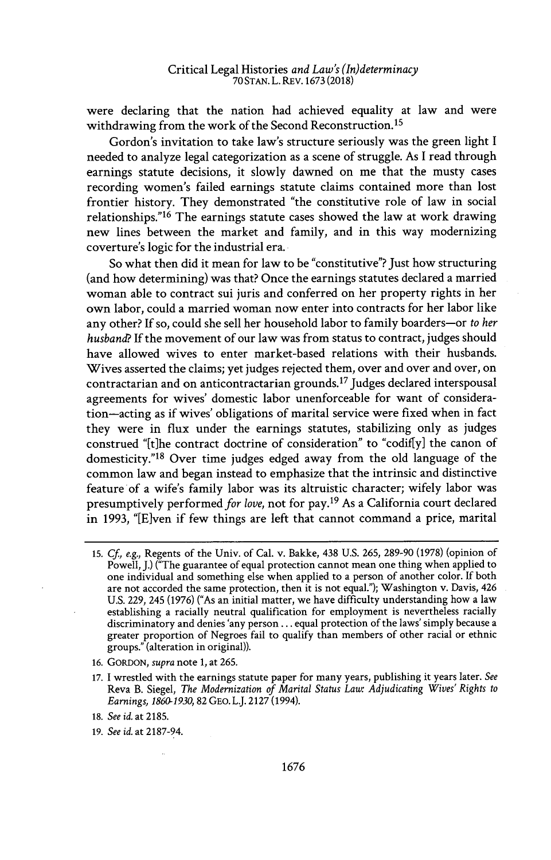were declaring that the nation had achieved equality at law and were withdrawing from the work of the Second Reconstruction.<sup>15</sup>

Gordon's invitation to take law's structure seriously was the green light **<sup>I</sup>** needed to analyze legal categorization as a scene of struggle. As I read through earnings statute decisions, it slowly dawned on me that the musty cases recording women's failed earnings statute claims contained more than lost frontier history. They demonstrated "the constitutive role of law in social relationships."<sup>16</sup> The earnings statute cases showed the law at work drawing new lines between the market and family, and in this way modernizing coverture's logic for the industrial era.

So what then did it mean for law to be "constitutive"? Just how structuring (and how determining) was that? Once the earnings statutes declared a married woman able to contract sui juris and conferred on her property rights in her own labor, could a married woman now enter into contracts for her labor like any other? **If** so, could she sell her household labor to family boarders-or *to her husband?* **If** the movement of our law was from status to contract, judges should have allowed wives to enter market-based relations with their husbands. Wives asserted the claims; yet judges rejected them, over and over and over, on contractarian and on anticontractarian grounds.<sup>17</sup> Judges declared interspousal agreements for wives' domestic labor unenforceable for want of consideration-acting as if wives' obligations of marital service were fixed when in fact they were in flux under the earnings statutes, stabilizing only as judges construed "[t]he contract doctrine of consideration" to "codif[y] the canon of domesticity." $18$  Over time judges edged away from the old language of the common law and began instead to emphasize that the intrinsic and distinctive feature of a wife's family labor was its altruistic character; wifely labor was presumptively performed *for love*, not for pay.<sup>19</sup> As a California court declared in **1993,** "[Even if few things are left that cannot command a price, marital

- **16.** GORDON, *supra* note **1,** at **265.**
- **17.** I wrestled with the earnings statute paper for many years, publishing it years later. *See* Reva B. Siegel, *The Modernization of Marital Status Law: Adjudicating Wives' Rights to Earnings, 1860-1930, 82* **GEO.** L.J. **2127** (1994).

**<sup>15.</sup>** *Cf, e.g.,* Regents of the Univ. of Cal. v. Bakke, 438 **U.S. 265, 289-90 (1978)** (opinion of Powell, **J.)** ("The guarantee of equal protection cannot mean one thing when applied to one individual and something else when applied to a person of another color. **If** both are not accorded the same protection, then it is not equal."); Washington v. Davis, 426 **U.S. 229,** 245 **(1976)** ("As an initial matter, we have difficulty understanding how a law establishing a racially neutral qualification for employment is nevertheless racially discriminatory and denies 'any person **...** equal protection of the laws' simply because a greater proportion of Negroes fail to qualify than members of other racial or ethnic groups." (alteration in original)).

**<sup>18.</sup>** *See id.* at **2185.**

**<sup>19.</sup>** *See id.* at **2187-94.**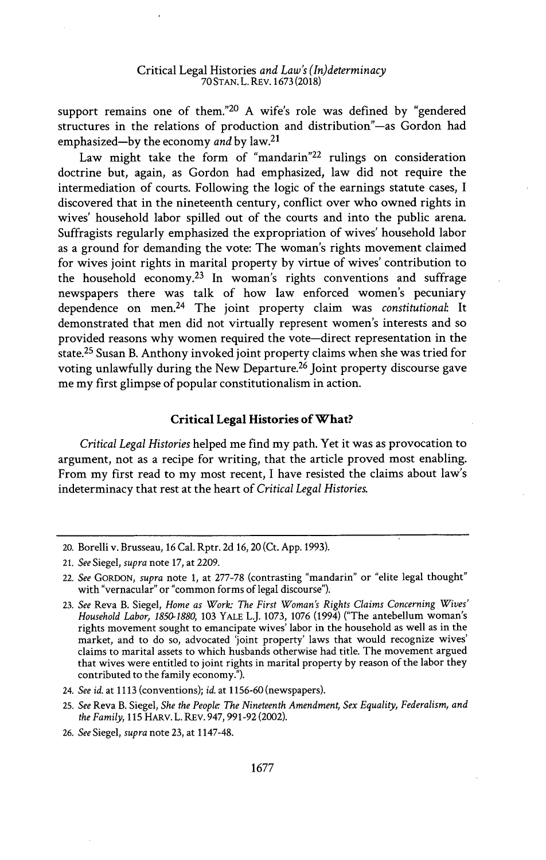support remains one of them."<sup>20</sup>**A** wife's role was defined **by** "gendered structures in the relations of production and distribution"-as Gordon had emphasized-by the economy *and* by law.<sup>21</sup>

Law might take the form of "mandarin"<sup>22</sup> rulings on consideration doctrine but, again, as Gordon had emphasized, law did not require the intermediation of courts. Following the logic of the earnings statute cases, **<sup>I</sup>** discovered that in the nineteenth century, conflict over who owned rights in wives' household labor spilled out of the courts and into the public arena. Suffragists regularly emphasized the expropriation of wives' household labor as a ground for demanding the vote: The woman's rights movement claimed for wives joint rights in marital property **by** virtue of wives' contribution to the household economy.<sup>23</sup> In woman's rights conventions and suffrage newspapers there was talk of how law enforced women's pecuniary dependence on men.<sup>24</sup> The joint property claim was *constitutional*: It demonstrated that men did not virtually represent women's interests and so provided reasons why women required the vote-direct representation in the state.<sup>25</sup> Susan B. Anthony invoked joint property claims when she was tried for voting unlawfully during the New Departure.<sup>26</sup> Joint property discourse gave me my first glimpse of popular constitutionalism in action.

#### **Critical Legal Histories of What?**

*Critical Legal Histories* helped me find my path. Yet it was as provocation to argument, not as a recipe for writing, that the article proved most enabling. From my first read to my most recent, **I** have resisted the claims about law's indeterminacy that rest at the heart of *Critical Legal Histories.*

<sup>20.</sup> Borelli v. Brusseau, **16** Cal. Rptr. **2d 16,** 20 (Ct. **App. 1993).**

<sup>21.</sup> *See Siegel, supra* **note 17,** at **2209.**

<sup>22.</sup> *See GORDON, supra* note **1,** at **277-78** (contrasting "mandarin" or "elite legal thought" with "vernacular" or "common forms of legal discourse").

**<sup>23.</sup>** *See* Reva B. Siegel, *Home as Work- The First Woman's Rights Claims Concerning Wives' Household Labor, 1850-1880,* **103** YALE LJ. **1073, 1076** (1994) ("The antebellum woman's rights movement sought to emancipate wives' labor in the household as well as in the market, and to do so, advocated 'joint property' laws that would recognize wives' claims to marital assets to which husbands otherwise had title. The movement argued that wives were entitled to joint rights in marital property **by** reason of the labor they contributed to the family economy.").

<sup>24.</sup> *See id.* at **1113** (conventions); *id* at **1156-60** (newspapers).

**<sup>25.</sup>** *See* Reva B. Siegel, *She the People. The Nineteenth Amendment, Sex Equality, Federalism, and the Family,* **115** HARv. L. REv. **947, 991-92** (2002).

**<sup>26.</sup>** *See Siegel, supra* note **23,** at 1147-48.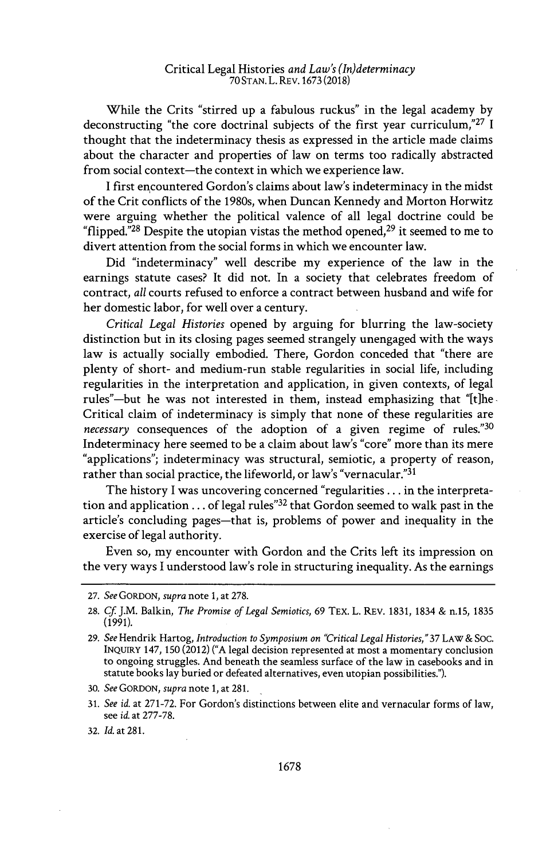While the Crits "stirred up a fabulous ruckus" in the legal academy **by** deconstructing "the core doctrinal subjects of the first year curriculum,"<sup>27</sup>**<sup>I</sup>** thought that the indeterminacy thesis as expressed in the article made claims about the character and properties of law on terms too radically abstracted from social context-the context in which we experience law.

**<sup>I</sup>**first encountered Gordon's claims about law's indeterminacy in the midst of the Crit conflicts of the 1980s, when Duncan Kennedy and Morton Horwitz were arguing whether the political valence of all legal doctrine could be "flipped."<sup>28</sup> Despite the utopian vistas the method opened,  $29$  it seemed to me to divert attention from the social forms in which we encounter law.

Did "indeterminacy" well describe my experience of the law in the earnings statute cases? It did not. In a society that celebrates freedom of contract, *all* courts refused to enforce a contract between husband and wife for her domestic labor, for well over a century.

*Critical Legal Histories* opened **by** arguing for blurring the law-society distinction but in its closing pages seemed strangely unengaged with the ways law is actually socially embodied. There, Gordon conceded that "there are plenty of short- and medium-run stable regularities in social life, including regularities in the interpretation and application, in given contexts, of legal rules"-but he was not interested in them, instead emphasizing that "[t]he. Critical claim of indeterminacy is simply that none of these regularities are *necessary* consequences of the adoption of a given regime of rules."<sup>30</sup> Indeterminacy here seemed to be a claim about law's "core" more than its mere "applications"; indeterminacy was structural, semiotic, a property of reason, rather than social practice, the lifeworld, or law's "vernacular."31

The history I was uncovering concerned "regularities **...** in the interpretation and application **...** of legal rules"<sup>32</sup>that Gordon seemed to walk past in the article's concluding pages-that is, problems of power and inequality in the exercise of legal authority.

Even so, my encounter with Gordon and the Crits left its impression on the very ways **I** understood law's role in structuring inequality. As the earnings

**<sup>27.</sup>** *See GORDON, supra* note **1,** at **278.**

**<sup>28.</sup>** *Cf* J.M. Balkin, *The Promise of Legal Semiotics, 69* TEx. L. REV. **1831,** 1834 **&** n.15, **1835 (1991).**

**<sup>29.</sup>** *See* Hendrik Hartog, *Introduction to Symposium on "Critical Legal Histories,"37 LAW* & Soc. INQUIRY 147, **150** (2012) **("A** legal decision represented at most a momentary conclusion to ongoing struggles. And beneath the seamless surface of the law in casebooks and in statute books lay buried or defeated alternatives, even utopian possibilities.").

**<sup>30.</sup>** *See GORDON, supra* note **1,** at **281.**

**<sup>31.</sup>** *See id.* at **271-72.** For Gordon's distinctions between elite and vernacular forms of law, see *id.* at **277-78.**

**<sup>32.</sup>** *Id.* at **281.**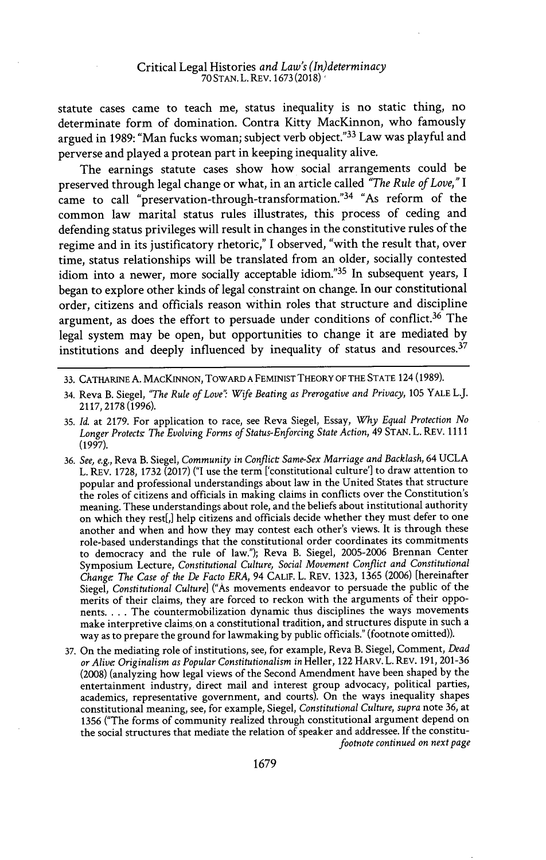statute cases came to teach me, status inequality is no static thing, no determinate form of domination. Contra Kitty MacKinnon, who famously argued in **1989:** "Man fucks woman; subject verb object." <sup>33</sup>Law was playful and perverse and played a protean part in keeping inequality alive.

The earnings statute cases show how social arrangements could be preserved through legal change or what, in an article called *"The Rule of Love," <sup>I</sup>* came to call "preservation-through-transformation."<sup>34</sup> "As reform of the common law marital status rules illustrates, this process of ceding and defending status privileges will result in changes in the constitutive rules of the regime and in its justificatory rhetoric," **I** observed, "with the result that, over time, status relationships will be translated from an older, socially contested idiom into a newer, more socially acceptable idiom."<sup>35</sup> In subsequent years, I began to explore other kinds of legal constraint on change. In our constitutional order, citizens and officials reason within roles that structure and discipline argument, as does the effort to persuade under conditions of conflict.<sup>36</sup> The legal system may be open, but opportunities to change it are mediated **by** institutions and deeply influenced by inequality of status and resources. $37$ 

- 34. Reva B. Siegel, *"The Rule of Love" Wife Beating as Prerogative and Privacy,* **105** YALE L.J. **2117,2178(1996).**
- **35.** *Id. at* **2179.** For application to race, see Reva Siegel, Essay, *Why Equal Protection No Longer Protects\* The Evolving Forms of Status-Enforcing State Action,* 49 **STAN.** L. REV. **1111 (1997).**
- **36.** *See, e.g.,* Reva B. Siegel, *Community in Conflict Same-Sex Marriage and Backlash,* 64 **UCLA** L. REV. **1728, 1732 (2017) ("I** use the term ['constitutional culture'] to draw attention to popular and professional understandings about law in the United States that structure the roles of citizens and officials in making claims in conflicts over the Constitution's meaning. These understandings about role, and the beliefs about institutional authority on which they rest[,] help citizens and officials decide whether they must defer to one another and when and how they may contest each other's views. It is through these role-based understandings that the constitutional order coordinates its commitments to democracy and the rule **of** law."); Reva B. Siegel, **2005-2006** Brennan Center Symposium Lecture, *Constitutional Culture, Social Movement Conflict and Constitutional Change: The Case of the De Facto ERA,* 94 CALIF. L. REV. **1323, 1365 (2006)** [hereinafter *Siegel, Constitutional Culture]* ("As movements endeavor to persuade the public of the merits of their claims, they are forced to reckon with the arguments of their opponents. . . **.** The countermobilization dynamic thus disciplines the ways movements make interpretive claims,on a constitutional tradition, and structures dispute in such a way as to prepare the ground for lawmaking **by** public officials." (footnote omitted)).
- **37.** On the mediating role of institutions, see, for example, Reva B. Siegel, Comment, *Dead or Alive. Originalism as Popular Constitutionalism in* Heller, 122 HARV. L. REV. **191, 201-36 (2008)** (analyzing how legal views of the Second Amendment have been shaped **by** the entertainment industry, direct mail and interest group advocacy, political parties, academics, representative government, and courts). On the ways inequality shapes constitutional meaning, see, for example, Siegel, *Constitutional Culture, supra* note **36,** at **1356** ("The forms of community realized through constitutional argument depend on the social structures that mediate the relation of speaker and addressee. If the constitu*footnote continued on next page*

**<sup>33.</sup>** CATHARINE **A.** MAcKINNON, TOWARD **A** FEMINIST THEORY OF THE **STATE** 124 **(1989).**